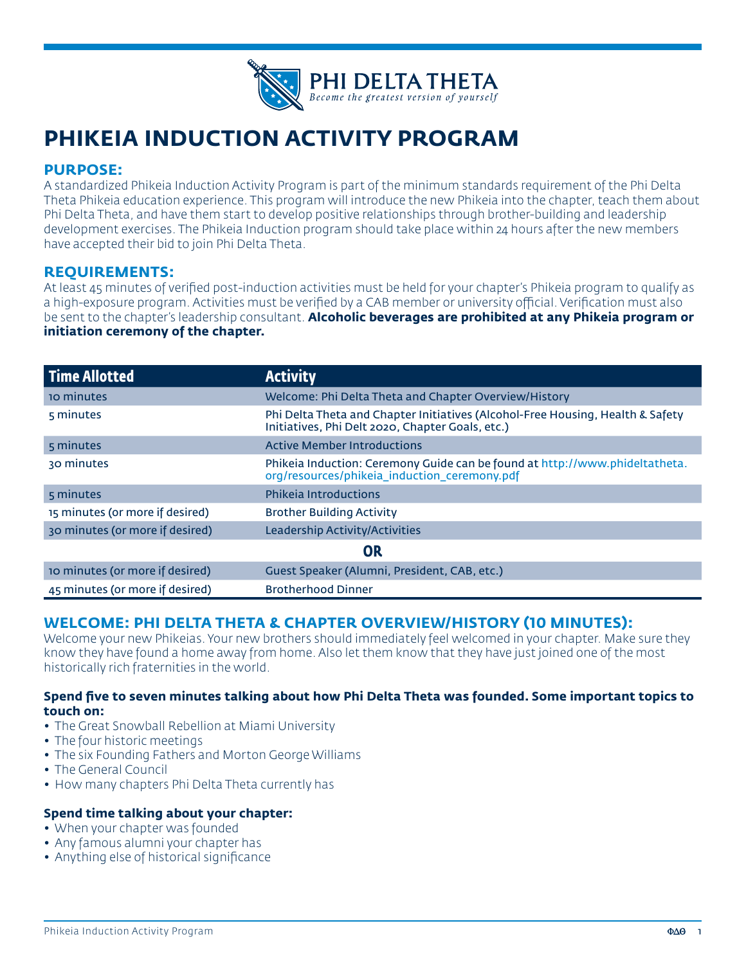

# **PHIKEIA INDUCTION ACTIVITY PROGRAM**

# **PURPOSE:**

A standardized Phikeia Induction Activity Program is part of the minimum standards requirement of the Phi Delta Theta Phikeia education experience. This program will introduce the new Phikeia into the chapter, teach them about Phi Delta Theta, and have them start to develop positive relationships through brother-building and leadership development exercises. The Phikeia Induction program should take place within 24 hours after the new members have accepted their bid to join Phi Delta Theta.

## **REQUIREMENTS:**

At least 45 minutes of verified post-induction activities must be held for your chapter's Phikeia program to qualify as a high-exposure program. Activities must be verified by a CAB member or university official. Verification must also be sent to the chapter's leadership consultant. **Alcoholic beverages are prohibited at any Phikeia program or initiation ceremony of the chapter.**

| <b>Time Allotted</b>            | <b>Activity</b>                                                                                                                    |
|---------------------------------|------------------------------------------------------------------------------------------------------------------------------------|
| <b>10 minutes</b>               | Welcome: Phi Delta Theta and Chapter Overview/History                                                                              |
| 5 minutes                       | Phi Delta Theta and Chapter Initiatives (Alcohol-Free Housing, Health & Safety<br>Initiatives, Phi Delt 2020, Chapter Goals, etc.) |
| 5 minutes                       | <b>Active Member Introductions</b>                                                                                                 |
| 30 minutes                      | Phikeia Induction: Ceremony Guide can be found at http://www.phideltatheta.<br>org/resources/phikeia induction ceremony.pdf        |
| 5 minutes                       | <b>Phikeja Introductions</b>                                                                                                       |
| 15 minutes (or more if desired) | <b>Brother Building Activity</b>                                                                                                   |
| 30 minutes (or more if desired) | Leadership Activity/Activities                                                                                                     |
| OR                              |                                                                                                                                    |
| 10 minutes (or more if desired) | Guest Speaker (Alumni, President, CAB, etc.)                                                                                       |
| 45 minutes (or more if desired) | <b>Brotherhood Dinner</b>                                                                                                          |

# **WELCOME: PHI DELTA THETA & CHAPTER OVERVIEW/HISTORY (10 MINUTES):**

Welcome your new Phikeias. Your new brothers should immediately feel welcomed in your chapter. Make sure they know they have found a home away from home. Also let them know that they have just joined one of the most historically rich fraternities in the world.

#### **Spend five to seven minutes talking about how Phi Delta Theta was founded. Some important topics to touch on:**

- The Great Snowball Rebellion at Miami University
- The four historic meetings
- The six Founding Fathers and Morton George Williams
- The General Council
- How many chapters Phi Delta Theta currently has

#### **Spend time talking about your chapter:**

- When your chapter was founded
- Any famous alumni your chapter has
- Anything else of historical significance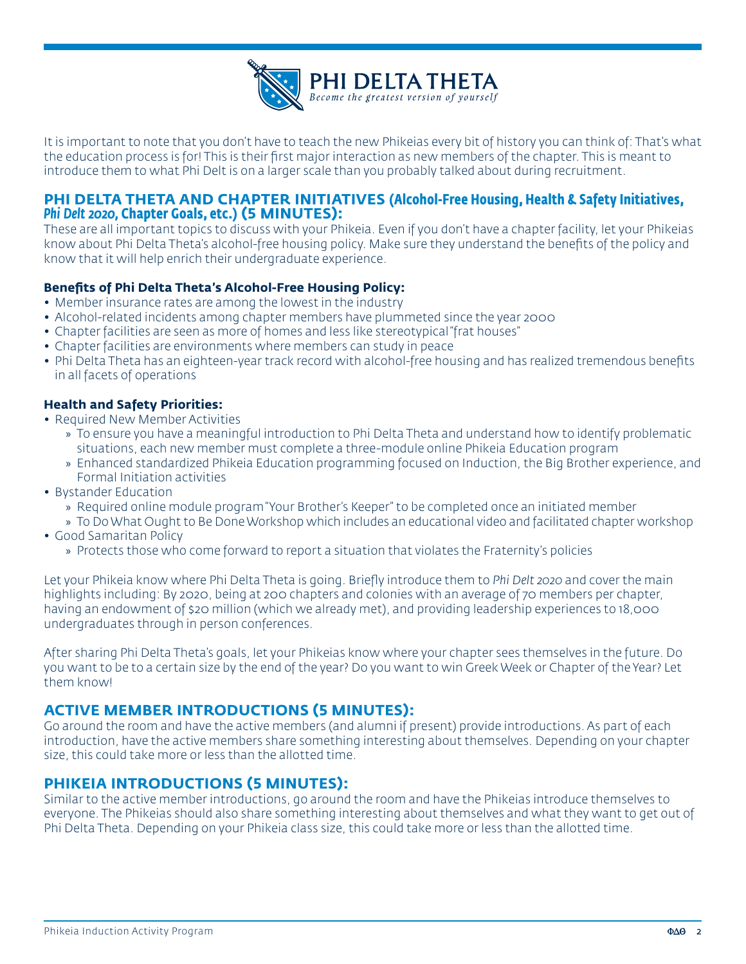

It is important to note that you don't have to teach the new Phikeias every bit of history you can think of: That's what the education process is for! This is their first major interaction as new members of the chapter. This is meant to introduce them to what Phi Delt is on a larger scale than you probably talked about during recruitment.

# **PHI DELTA THETA AND CHAPTER INITIATIVES (Alcohol-Free Housing, Health & Safety Initiatives,**  *Phi Delt 2020,* **Chapter Goals, etc.) (5 MINUTES):**

These are all important topics to discuss with your Phikeia. Even if you don't have a chapter facility, let your Phikeias know about Phi Delta Theta's alcohol-free housing policy. Make sure they understand the benefits of the policy and know that it will help enrich their undergraduate experience.

## **Benefits of Phi Delta Theta's Alcohol-Free Housing Policy:**

- Member insurance rates are among the lowest in the industry
- Alcohol-related incidents among chapter members have plummeted since the year 2000
- Chapter facilities are seen as more of homes and less like stereotypical "frat houses"
- Chapter facilities are environments where members can study in peace
- Phi Delta Theta has an eighteen-year track record with alcohol-free housing and has realized tremendous benefits in all facets of operations

#### **Health and Safety Priorities:**

- Required New Member Activities
	- » To ensure you have a meaningful introduction to Phi Delta Theta and understand how to identify problematic situations, each new member must complete a three-module online Phikeia Education program
	- » Enhanced standardized Phikeia Education programming focused on Induction, the Big Brother experience, and Formal Initiation activities
- Bystander Education
	- » Required online module program "Your Brother's Keeper" to be completed once an initiated member
	- » To Do What Ought to Be Done Workshop which includes an educational video and facilitated chapter workshop
- Good Samaritan Policy
	- » Protects those who come forward to report a situation that violates the Fraternity's policies

Let your Phikeia know where Phi Delta Theta is going. Briefly introduce them to *Phi Delt 2020* and cover the main highlights including: By 2020, being at 200 chapters and colonies with an average of 70 members per chapter, having an endowment of \$20 million (which we already met), and providing leadership experiences to 18,000 undergraduates through in person conferences.

After sharing Phi Delta Theta's goals, let your Phikeias know where your chapter sees themselves in the future. Do you want to be to a certain size by the end of the year? Do you want to win Greek Week or Chapter of the Year? Let them know!

# **ACTIVE MEMBER INTRODUCTIONS (5 MINUTES):**

Go around the room and have the active members (and alumni if present) provide introductions. As part of each introduction, have the active members share something interesting about themselves. Depending on your chapter size, this could take more or less than the allotted time.

# **PHIKEIA INTRODUCTIONS (5 MINUTES):**

Similar to the active member introductions, go around the room and have the Phikeias introduce themselves to everyone. The Phikeias should also share something interesting about themselves and what they want to get out of Phi Delta Theta. Depending on your Phikeia class size, this could take more or less than the allotted time.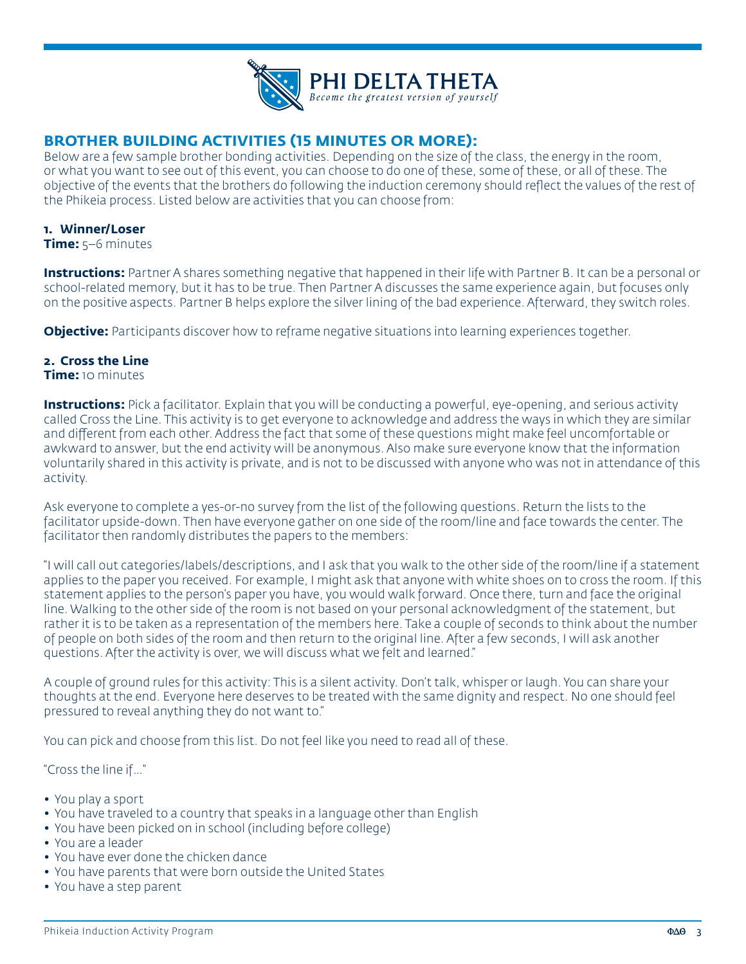

# **BROTHER BUILDING ACTIVITIES (15 MINUTES OR MORE):**

Below are a few sample brother bonding activities. Depending on the size of the class, the energy in the room, or what you want to see out of this event, you can choose to do one of these, some of these, or all of these. The objective of the events that the brothers do following the induction ceremony should reflect the values of the rest of the Phikeia process. Listed below are activities that you can choose from:

#### **1. Winner/Loser**

**Time:** 5–6 minutes

**Instructions:** Partner A shares something negative that happened in their life with Partner B. It can be a personal or school-related memory, but it has to be true. Then Partner A discusses the same experience again, but focuses only on the positive aspects. Partner B helps explore the silver lining of the bad experience. Afterward, they switch roles.

**Objective:** Participants discover how to reframe negative situations into learning experiences together.

#### **2. Cross the Line**

**Time:** 10 minutes

**Instructions:** Pick a facilitator. Explain that you will be conducting a powerful, eye-opening, and serious activity called Cross the Line. This activity is to get everyone to acknowledge and address the ways in which they are similar and different from each other. Address the fact that some of these questions might make feel uncomfortable or awkward to answer, but the end activity will be anonymous. Also make sure everyone know that the information voluntarily shared in this activity is private, and is not to be discussed with anyone who was not in attendance of this activity.

Ask everyone to complete a yes-or-no survey from the list of the following questions. Return the lists to the facilitator upside-down. Then have everyone gather on one side of the room/line and face towards the center. The facilitator then randomly distributes the papers to the members:

"I will call out categories/labels/descriptions, and I ask that you walk to the other side of the room/line if a statement applies to the paper you received. For example, I might ask that anyone with white shoes on to cross the room. If this statement applies to the person's paper you have, you would walk forward. Once there, turn and face the original line. Walking to the other side of the room is not based on your personal acknowledgment of the statement, but rather it is to be taken as a representation of the members here. Take a couple of seconds to think about the number of people on both sides of the room and then return to the original line. After a few seconds, I will ask another questions. After the activity is over, we will discuss what we felt and learned."

A couple of ground rules for this activity: This is a silent activity. Don't talk, whisper or laugh. You can share your thoughts at the end. Everyone here deserves to be treated with the same dignity and respect. No one should feel pressured to reveal anything they do not want to."

You can pick and choose from this list. Do not feel like you need to read all of these.

"Cross the line if…"

- You play a sport
- You have traveled to a country that speaks in a language other than English
- You have been picked on in school (including before college)
- You are a leader
- You have ever done the chicken dance
- You have parents that were born outside the United States
- You have a step parent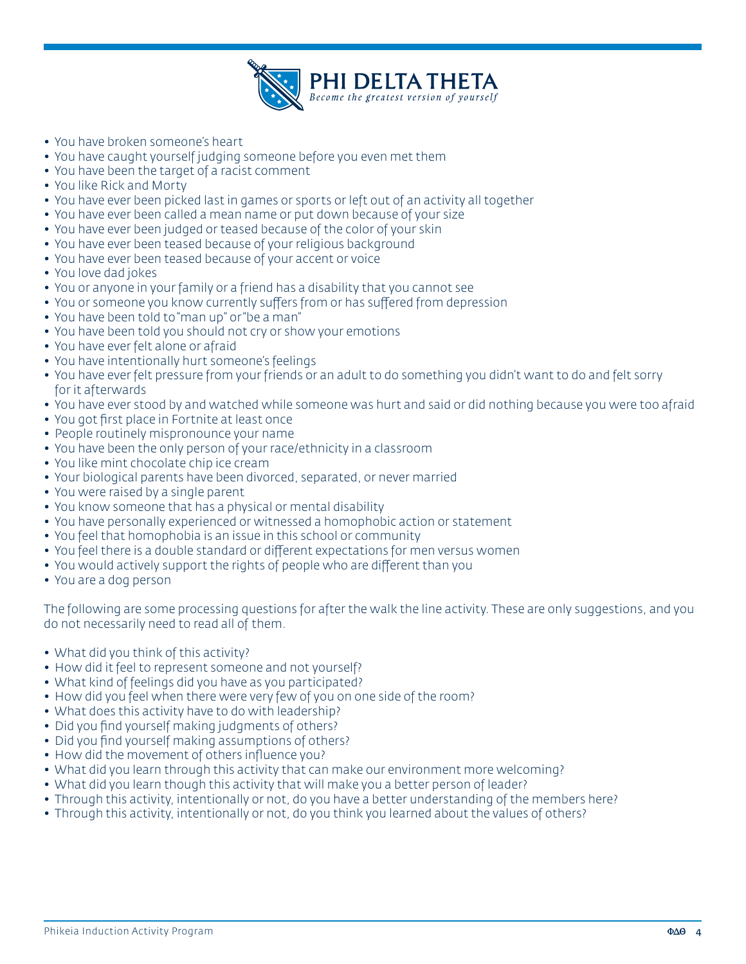

- You have broken someone's heart
- You have caught yourself judging someone before you even met them
- You have been the target of a racist comment
- You like Rick and Morty
- You have ever been picked last in games or sports or left out of an activity all together
- You have ever been called a mean name or put down because of your size
- You have ever been judged or teased because of the color of your skin
- You have ever been teased because of your religious background
- You have ever been teased because of your accent or voice
- You love dad jokes
- You or anyone in your family or a friend has a disability that you cannot see
- You or someone you know currently suffers from or has suffered from depression
- You have been told to "man up" or "be a man"
- You have been told you should not cry or show your emotions
- You have ever felt alone or afraid
- You have intentionally hurt someone's feelings
- You have ever felt pressure from your friends or an adult to do something you didn't want to do and felt sorry for it afterwards
- You have ever stood by and watched while someone was hurt and said or did nothing because you were too afraid
- You got first place in Fortnite at least once
- People routinely mispronounce your name
- You have been the only person of your race/ethnicity in a classroom
- You like mint chocolate chip ice cream
- Your biological parents have been divorced, separated, or never married
- You were raised by a single parent
- You know someone that has a physical or mental disability
- You have personally experienced or witnessed a homophobic action or statement
- You feel that homophobia is an issue in this school or community
- You feel there is a double standard or different expectations for men versus women
- You would actively support the rights of people who are different than you
- You are a dog person

The following are some processing questions for after the walk the line activity. These are only suggestions, and you do not necessarily need to read all of them.

- What did you think of this activity?
- How did it feel to represent someone and not yourself?
- What kind of feelings did you have as you participated?
- How did you feel when there were very few of you on one side of the room?
- What does this activity have to do with leadership?
- Did you find yourself making judgments of others?
- Did you find yourself making assumptions of others?
- How did the movement of others influence you?
- What did you learn through this activity that can make our environment more welcoming?
- What did you learn though this activity that will make you a better person of leader?
- Through this activity, intentionally or not, do you have a better understanding of the members here?
- Through this activity, intentionally or not, do you think you learned about the values of others?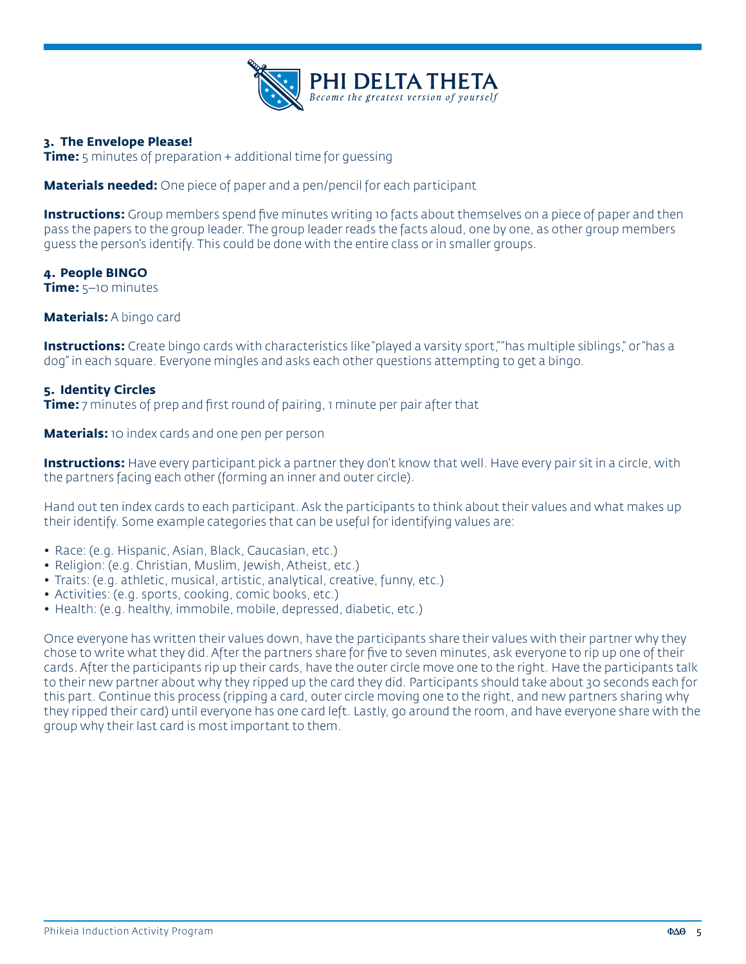

#### **3. The Envelope Please!**

**Time:** 5 minutes of preparation + additional time for guessing

**Materials needed:** One piece of paper and a pen/pencil for each participant

**Instructions:** Group members spend five minutes writing 10 facts about themselves on a piece of paper and then pass the papers to the group leader. The group leader reads the facts aloud, one by one, as other group members guess the person's identify. This could be done with the entire class or in smaller groups.

#### **4. People BINGO**

**Time:** 5–10 minutes

#### **Materials:** A bingo card

**Instructions:** Create bingo cards with characteristics like "played a varsity sport," "has multiple siblings," or "has a dog" in each square. Everyone mingles and asks each other questions attempting to get a bingo.

#### **5. Identity Circles**

**Time:** 7 minutes of prep and first round of pairing, 1 minute per pair after that

**Materials:** 10 index cards and one pen per person

**Instructions:** Have every participant pick a partner they don't know that well. Have every pair sit in a circle, with the partners facing each other (forming an inner and outer circle).

Hand out ten index cards to each participant. Ask the participants to think about their values and what makes up their identify. Some example categories that can be useful for identifying values are:

- Race: (e.g. Hispanic, Asian, Black, Caucasian, etc.)
- Religion: (e.g. Christian, Muslim, Jewish, Atheist, etc.)
- Traits: (e.g. athletic, musical, artistic, analytical, creative, funny, etc.)
- Activities: (e.g. sports, cooking, comic books, etc.)
- Health: (e.g. healthy, immobile, mobile, depressed, diabetic, etc.)

Once everyone has written their values down, have the participants share their values with their partner why they chose to write what they did. After the partners share for five to seven minutes, ask everyone to rip up one of their cards. After the participants rip up their cards, have the outer circle move one to the right. Have the participants talk to their new partner about why they ripped up the card they did. Participants should take about 30 seconds each for this part. Continue this process (ripping a card, outer circle moving one to the right, and new partners sharing why they ripped their card) until everyone has one card left. Lastly, go around the room, and have everyone share with the group why their last card is most important to them.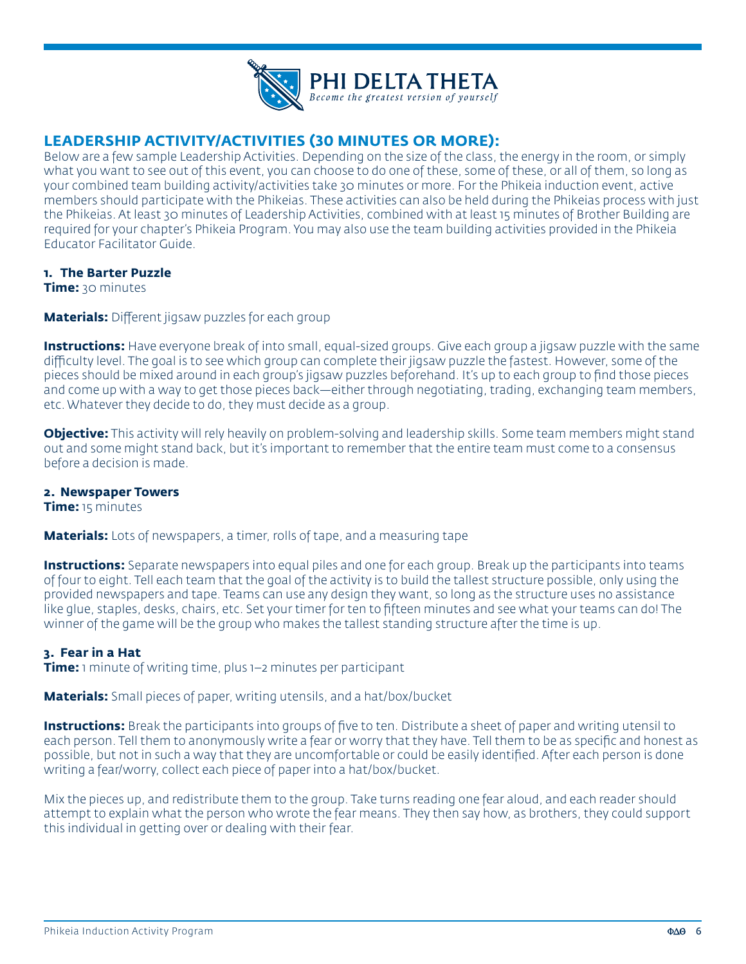

# **LEADERSHIP ACTIVITY/ACTIVITIES (30 MINUTES OR MORE):**

Below are a few sample Leadership Activities. Depending on the size of the class, the energy in the room, or simply what you want to see out of this event, you can choose to do one of these, some of these, or all of them, so long as your combined team building activity/activities take 30 minutes or more. For the Phikeia induction event, active members should participate with the Phikeias. These activities can also be held during the Phikeias process with just the Phikeias. At least 30 minutes of Leadership Activities, combined with at least 15 minutes of Brother Building are required for your chapter's Phikeia Program. You may also use the team building activities provided in the Phikeia Educator Facilitator Guide.

#### **1. The Barter Puzzle**

**Time:** 30 minutes

**Materials:** Different jigsaw puzzles for each group

**Instructions:** Have everyone break of into small, equal-sized groups. Give each group a jigsaw puzzle with the same difficulty level. The goal is to see which group can complete their jigsaw puzzle the fastest. However, some of the pieces should be mixed around in each group's jigsaw puzzles beforehand. It's up to each group to find those pieces and come up with a way to get those pieces back—either through negotiating, trading, exchanging team members, etc. Whatever they decide to do, they must decide as a group.

**Objective:** This activity will rely heavily on problem-solving and leadership skills. Some team members might stand out and some might stand back, but it's important to remember that the entire team must come to a consensus before a decision is made.

#### **2. Newspaper Towers**

**Time:** 15 minutes

**Materials:** Lots of newspapers, a timer, rolls of tape, and a measuring tape

**Instructions:** Separate newspapers into equal piles and one for each group. Break up the participants into teams of four to eight. Tell each team that the goal of the activity is to build the tallest structure possible, only using the provided newspapers and tape. Teams can use any design they want, so long as the structure uses no assistance like glue, staples, desks, chairs, etc. Set your timer for ten to fifteen minutes and see what your teams can do! The winner of the game will be the group who makes the tallest standing structure after the time is up.

#### **3. Fear in a Hat**

**Time:** 1 minute of writing time, plus 1–2 minutes per participant

**Materials:** Small pieces of paper, writing utensils, and a hat/box/bucket

**Instructions:** Break the participants into groups of five to ten. Distribute a sheet of paper and writing utensil to each person. Tell them to anonymously write a fear or worry that they have. Tell them to be as specific and honest as possible, but not in such a way that they are uncomfortable or could be easily identified. After each person is done writing a fear/worry, collect each piece of paper into a hat/box/bucket.

Mix the pieces up, and redistribute them to the group. Take turns reading one fear aloud, and each reader should attempt to explain what the person who wrote the fear means. They then say how, as brothers, they could support this individual in getting over or dealing with their fear.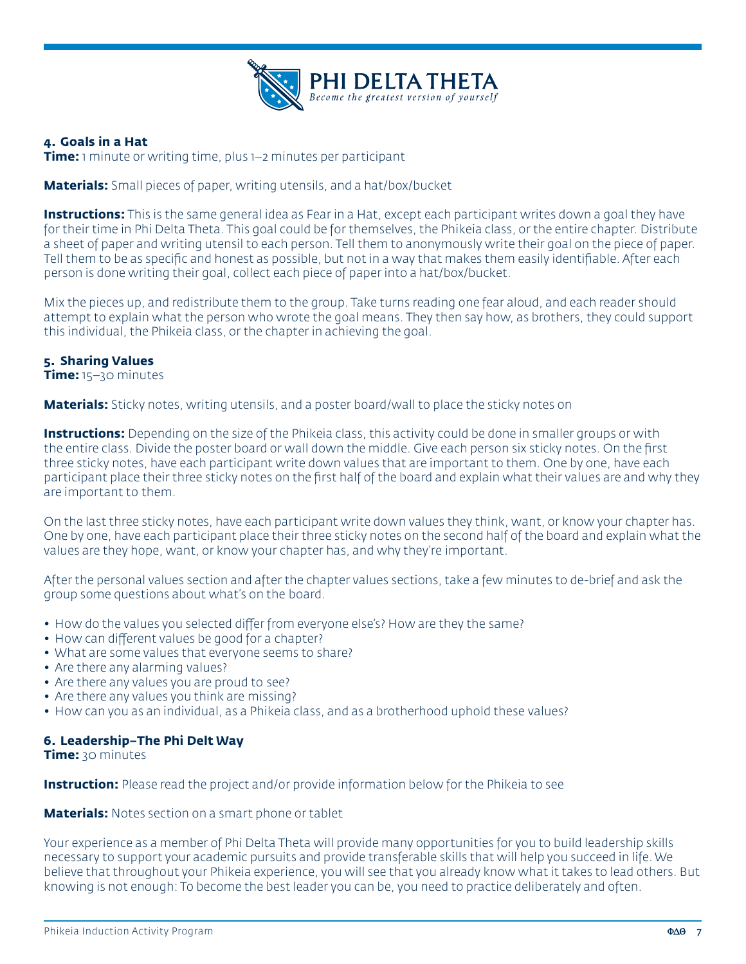

#### **4. Goals in a Hat**

**Time:** 1 minute or writing time, plus 1–2 minutes per participant

**Materials:** Small pieces of paper, writing utensils, and a hat/box/bucket

**Instructions:** This is the same general idea as Fear in a Hat, except each participant writes down a goal they have for their time in Phi Delta Theta. This goal could be for themselves, the Phikeia class, or the entire chapter. Distribute a sheet of paper and writing utensil to each person. Tell them to anonymously write their goal on the piece of paper. Tell them to be as specific and honest as possible, but not in a way that makes them easily identifiable. After each person is done writing their goal, collect each piece of paper into a hat/box/bucket.

Mix the pieces up, and redistribute them to the group. Take turns reading one fear aloud, and each reader should attempt to explain what the person who wrote the goal means. They then say how, as brothers, they could support this individual, the Phikeia class, or the chapter in achieving the goal.

#### **5. Sharing Values**

**Time:** 15–30 minutes

**Materials:** Sticky notes, writing utensils, and a poster board/wall to place the sticky notes on

**Instructions:** Depending on the size of the Phikeia class, this activity could be done in smaller groups or with the entire class. Divide the poster board or wall down the middle. Give each person six sticky notes. On the first three sticky notes, have each participant write down values that are important to them. One by one, have each participant place their three sticky notes on the first half of the board and explain what their values are and why they are important to them.

On the last three sticky notes, have each participant write down values they think, want, or know your chapter has. One by one, have each participant place their three sticky notes on the second half of the board and explain what the values are they hope, want, or know your chapter has, and why they're important.

After the personal values section and after the chapter values sections, take a few minutes to de-brief and ask the group some questions about what's on the board.

- How do the values you selected differ from everyone else's? How are they the same?
- How can different values be good for a chapter?
- What are some values that everyone seems to share?
- Are there any alarming values?
- Are there any values you are proud to see?
- Are there any values you think are missing?
- How can you as an individual, as a Phikeia class, and as a brotherhood uphold these values?

#### **6. Leadership–The Phi Delt Way**

**Time:** 30 minutes

**Instruction:** Please read the project and/or provide information below for the Phikeia to see

**Materials:** Notes section on a smart phone or tablet

Your experience as a member of Phi Delta Theta will provide many opportunities for you to build leadership skills necessary to support your academic pursuits and provide transferable skills that will help you succeed in life. We believe that throughout your Phikeia experience, you will see that you already know what it takes to lead others. But knowing is not enough: To become the best leader you can be, you need to practice deliberately and often.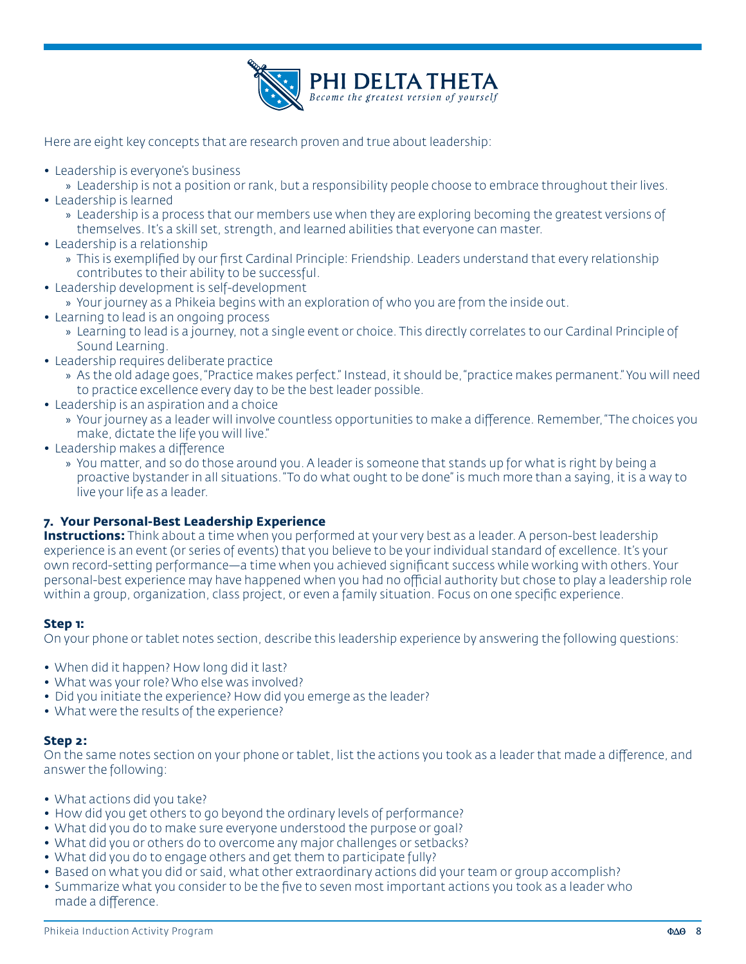

Here are eight key concepts that are research proven and true about leadership:

- Leadership is everyone's business
	- » Leadership is not a position or rank, but a responsibility people choose to embrace throughout their lives.
- Leadership is learned
	- » Leadership is a process that our members use when they are exploring becoming the greatest versions of themselves. It's a skill set, strength, and learned abilities that everyone can master.
- Leadership is a relationship
	- » This is exemplified by our first Cardinal Principle: Friendship. Leaders understand that every relationship contributes to their ability to be successful.
- Leadership development is self-development
	- » Your journey as a Phikeia begins with an exploration of who you are from the inside out.
- Learning to lead is an ongoing process
	- » Learning to lead is a journey, not a single event or choice. This directly correlates to our Cardinal Principle of Sound Learning.
- Leadership requires deliberate practice
	- » As the old adage goes, "Practice makes perfect." Instead, it should be, "practice makes permanent." You will need to practice excellence every day to be the best leader possible.
- Leadership is an aspiration and a choice
	- » Your journey as a leader will involve countless opportunities to make a difference. Remember, "The choices you make, dictate the life you will live."
- Leadership makes a difference
	- » You matter, and so do those around you. A leader is someone that stands up for what is right by being a proactive bystander in all situations. "To do what ought to be done" is much more than a saying, it is a way to live your life as a leader.

#### **7. Your Personal-Best Leadership Experience**

**Instructions:** Think about a time when you performed at your very best as a leader. A person-best leadership experience is an event (or series of events) that you believe to be your individual standard of excellence. It's your own record-setting performance—a time when you achieved significant success while working with others. Your personal-best experience may have happened when you had no official authority but chose to play a leadership role within a group, organization, class project, or even a family situation. Focus on one specific experience.

#### **Step 1:**

On your phone or tablet notes section, describe this leadership experience by answering the following questions:

- When did it happen? How long did it last?
- What was your role? Who else was involved?
- Did you initiate the experience? How did you emerge as the leader?
- What were the results of the experience?

#### **Step 2:**

On the same notes section on your phone or tablet, list the actions you took as a leader that made a difference, and answer the following:

- What actions did you take?
- How did you get others to go beyond the ordinary levels of performance?
- What did you do to make sure everyone understood the purpose or goal?
- What did you or others do to overcome any major challenges or setbacks?
- What did you do to engage others and get them to participate fully?
- Based on what you did or said, what other extraordinary actions did your team or group accomplish?
- Summarize what you consider to be the five to seven most important actions you took as a leader who made a difference.